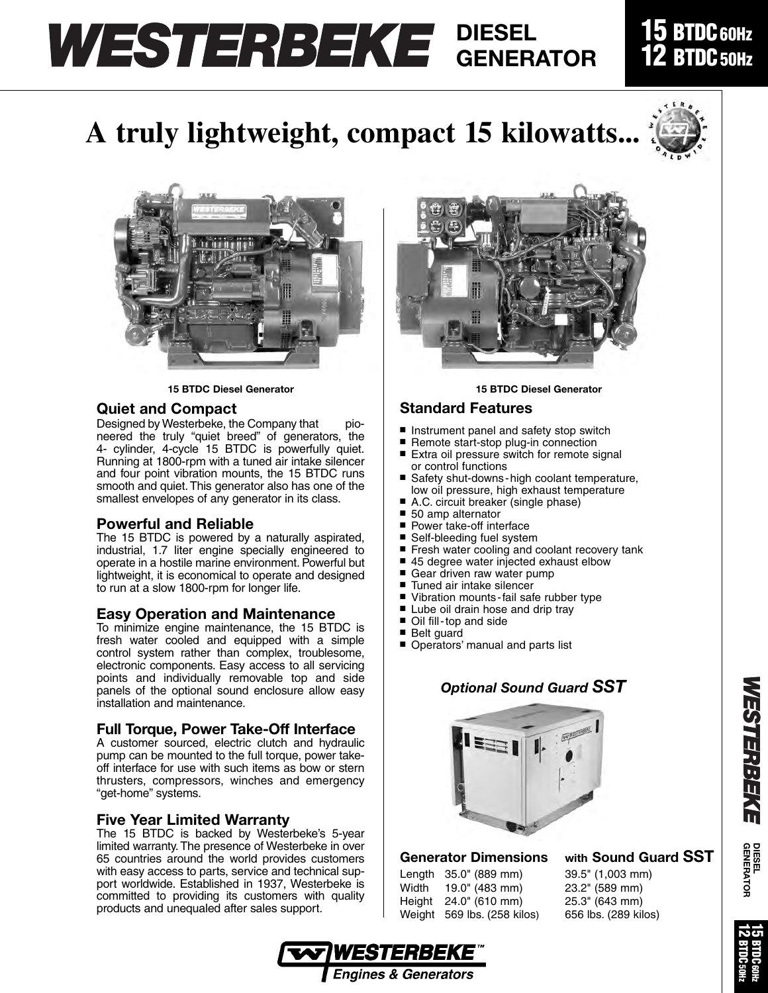# **DIESEL GENERATOR**

**A truly lightweight, compact 15 kilowatts...**

## **15 BTDC60Hz BTDC** 50Hz







### **Quiet and Compact**

Designed by Westerbeke, the Company that pioneered the truly "quiet breed" of generators, the 4- cylinder, 4-cycle 15 BTDC is powerfully quiet. Running at 1800-rpm with a tuned air intake silencer and four point vibration mounts, the 15 BTDC runs smooth and quiet. This generator also has one of the smallest envelopes of any generator in its class.

### **Powerful and Reliable**

The 15 BTDC is powered by a naturally aspirated, industrial, 1.7 liter engine specially engineered to operate in a hostile marine environment. Powerful but lightweight, it is economical to operate and designed to run at a slow 1800-rpm for longer life.

### **Easy Operation and Maintenance**

To minimize engine maintenance, the 15 BTDC is fresh water cooled and equipped with a simple control system rather than complex, troublesome, electronic components. Easy access to all servicing points and individually removable top and side panels of the optional sound enclosure allow easy installation and maintenance.

### **Full Torque, Power Take-Off Interface**

A customer sourced, electric clutch and hydraulic pump can be mounted to the full torque, power takeoff interface for use with such items as bow or stern thrusters, compressors, winches and emergency "get-home" systems.

### **Five Year Limited Warranty**

The 15 BTDC is backed by Westerbeke's 5-year limited warranty. The presence of Westerbeke in over 65 countries around the world provides customers with easy access to parts, service and technical support worldwide. Established in 1937, Westerbeke is committed to providing its customers with quality products and unequaled after sales support.



### **Standard Features**

- Instrument panel and safety stop switch
- Remote start-stop plug-in connection
- Extra oil pressure switch for remote signal or control functions
- Safety shut-downs-high coolant temperature, low oil pressure, high exhaust temperature
- A.C. circuit breaker (single phase)
- 50 amp alternator
- Power take-off interface
- Self-bleeding fuel system<br>■ Fresh water cooling and o
- Fresh water cooling and coolant recovery tank
- 45 degree water injected exhaust elbow
- Gear driven raw water pump
- Tuned air intake silencer
- Vibration mounts-fail safe rubber type
- Lube oil drain hose and drip tray
- Oil fill-top and side
- Belt guard
- Operators' manual and parts list

### *Optional Sound Guard SST*



### **Generator Dimensions with Sound Guard SST**

| Length 35.0" (889 mm)       | 39.5" (1,003 mm)     |
|-----------------------------|----------------------|
| Width 19.0" (483 mm)        | 23.2" (589 mm)       |
| Height 24.0" (610 mm)       | 25.3" (643 mm)       |
| Weight 569 lbs. (258 kilos) | 656 lbs. (289 kilos) |

39.5" (1,003 mm) 23.2" (589 mm) 25.3" (643 mm)





**DIESEL GENERATOR**

**WESTERBEKE**